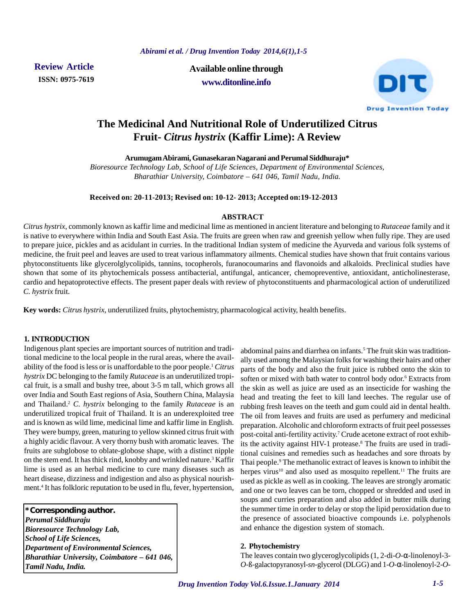**ISSN: 0975-7619**

**Review Article Available online through www.ditonline.info**



# **The Medicinal And Nutritional Role of Underutilized Citrus Fruit-** *Citrus hystrix* **(Kaffir Lime): A Review**

**Arumugam Abirami, Gunasekaran Nagarani and Perumal Siddhuraju\***

*Bioresource Technology Lab, School of Life Sciences, Department of Environmental Sciences, Bharathiar University, Coimbatore – 641 046, Tamil Nadu, India.*

# **Received on: 20-11-2013; Revised on: 10-12- 2013; Accepted on:19-12-2013**

# **ABSTRACT**

*Citrus hystrix*, commonly known as kaffir lime and medicinal lime as mentioned in ancient literature and belonging to *Rutaceae* family and it is native to everywhere within India and South East Asia. The fruits are green when raw and greenish yellow when fully ripe. They are used to prepare juice, pickles and as acidulant in curries. In the traditional Indian system of medicine the Ayurveda and various folk systems of medicine, the fruit peel and leaves are used to treat various inflammatory ailments. Chemical studies have shown that fruit contains various phytoconstituents like glycerolglycolipids, tannins, tocopherols, furanocoumarins and flavonoids and alkaloids. Preclinical studies have shown that some of its phytochemicals possess antibacterial, antifungal, anticancer, chemopreventive, antioxidant, anticholinesterase, cardio and hepatoprotective effects. The present paper deals with review of phytoconstituents and pharmacological action of underutilized *C. hystrix* fruit.

**Key words:** *Citrus hystrix*, underutilized fruits, phytochemistry, pharmacological activity, health benefits.

# **1. INTRODUCTION**

Indigenous plant species are important sources of nutrition and traditional medicine to the local people in the rural areas, where the availability of the food is less or is unaffordable to the poor people.<sup>1</sup> *Citrus hystrix* DC belonging to the family *Rutaceae* is an underutilized tropical fruit, is a small and bushy tree, about 3-5 m tall, which grows all over India and South East regions of Asia, Southern China, Malaysia and Thailand.<sup>2</sup> *C. hystrix* belonging to the family *Rutaceae* is an underutilized tropical fruit of Thailand. It is an underexploited tree and is known as wild lime, medicinal lime and kaffir lime in English. They were bumpy, green, maturing to yellow skinned citrus fruit with a highly acidic flavour. A very thorny bush with aromatic leaves. The fruits are subglobose to oblate-globose shape, with a distinct nipple on the stem end. It has thick rind, knobby and wrinkled nature.<sup>3</sup> Kaffir lime is used as an herbal medicine to cure many diseases such as heart disease, dizziness and indigestion and also as physical nourishment.<sup>4</sup> It has folkloric reputation to be used in flu, fever, hypertension,

**\*Corresponding author.** *Perumal Siddhuraju Bioresource Technology Lab, School of Life Sciences, Department of Environmental Sciences, Bharathiar University, Coimbatore – 641 046, Tamil Nadu, India.*

abdominal pains and diarrhea on infants.<sup>5</sup> The fruit skin was traditionally used among the Malaysian folks for washing their hairs and other parts of the body and also the fruit juice is rubbed onto the skin to soften or mixed with bath water to control body odor.<sup>6</sup> Extracts from the skin as well as juice are used as an insecticide for washing the head and treating the feet to kill land leeches. The regular use of rubbing fresh leaves on the teeth and gum could aid in dental health. The oil from leaves and fruits are used as perfumery and medicinal preparation. Alcoholic and chloroform extracts of fruit peel possesses post-coital anti-fertility activity.<sup>7</sup> Crude acetone extract of root exhibits the activity against HIV-1 protease.<sup>8</sup> The fruits are used in traditional cuisines and remedies such as headaches and sore throats by Thai people.<sup>9</sup> The methanolic extract of leaves is known to inhibit the herpes virus<sup>10</sup> and also used as mosquito repellent.<sup>11</sup> The fruits are used as pickle as well as in cooking. The leaves are strongly aromatic and one or two leaves can be torn, chopped or shredded and used in soups and curries preparation and also added in butter milk during the summer time in order to delay or stop the lipid peroxidation due to the presence of associated bioactive compounds i.e. polyphenols and enhance the digestion system of stomach.

# **2. Phytochemistry**

The leaves contain two glyceroglycolipids (1, 2-di-*O*-α-linolenoyl-3- *O*-ß-galactopyranosyl-*sn*-glycerol (DLGG) and 1-*O*-α-linolenoyl-2-*O*-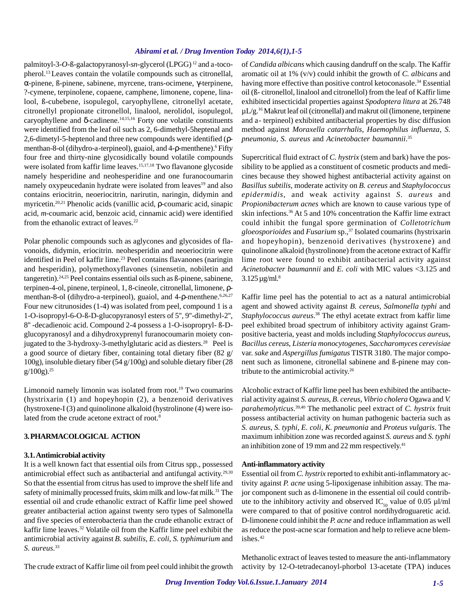palmitoyl-3-*O*-ß-galactopyranosyl-*sn*-glycerol (LPGG) 12 and a-tocopherol.13 Leaves contain the volatile compounds such as citronellal, α-pinene, ß-pinene, sabinene, myrcene, trans-ocimene, γ-terpinene, ?-cymene, terpinolene, copaene, camphene, limonene, copene, linalool, ß-cubebene, isopulegol, caryophyllene, citronellyl acetate, citronellyl propionate citronellol, linalool, nerolidol, isopulegol, caryophyllene and  $\delta$ -cadinene.<sup>14,15,16</sup> Forty one volatile constituents were identified from the leaf oil such as 2, 6-dimethyl-5heptenal and 2,6-dimetyl-5-heptenol and three new compounds were identified (ρmenthan-8-ol (dihydro-a-terpineol), guaiol, and 4-ρ-menthene).<sup>6</sup> Fifty four free and thirty-nine glycosidically bound volatile compounds were isolated from kaffir lime leaves.<sup>15,17,18</sup> Two flavanone glycoside namely hesperidine and neohesperidine and one furanocoumarin namely oxypeucedanin hydrate were isolated from leaves<sup>19</sup> and also contains eriocitrin, neoeriocitrin, narirutin, naringin, didymin and myricetin.20,21 Phenolic acids (vanillic acid, ρ-coumaric acid, sinapic acid, *m*-coumaric acid, benzoic acid, cinnamic acid) were identified from the ethanolic extract of leaves.<sup>22</sup>

Polar phenolic compounds such as aglycones and glycosides of flavonoids, didymin, eriocitrin. neohesperidin and neoeriocitrin were identified in Peel of kaffir lime.<sup>23</sup> Peel contains flavanones (naringin and hesperidin), polymethoxyflavones (sinensetin, nobiletin and tangeretin).24,25 Peel contains essential oils such as ß-pinene, sabinene, terpinen-4-ol, pinene, terpineol, 1, 8-cineole, citronellal, limonene, ρmenthan-8-ol (dihydro-a-terpineol), guaiol, and 4-ρ-menthene.<sup>6,26,27</sup> Four new citrunosides (1-4) was isolated from peel, compound 1 is a 1-O-isopropyl-6-O-ß-D-glucopyranosyl esters of 5'', 9''-dimethyl-2'', 8'' -decadienoic acid. Compound 2-4 possess a 1-O-isopropryl- ß-Dglucopyranosyl and a dihydroxyprenyl furanocoumarin moiety conjugated to the  $3$ -hydroxy-3-methylglutaric acid as diesters.<sup>28</sup> Peel is a good source of dietary fiber, containing total dietary fiber (82 g/ 100g), insoluble dietary fiber (54 g/100g) and soluble dietary fiber (28  $g/100g$ ).<sup>25</sup>

Limonoid namely limonin was isolated from root.<sup>19</sup> Two coumarins (hystrixarin (1) and hopeyhopin (2), a benzenoid derivatives (hystroxene-I (3) and quinolinone alkaloid (hystrolinone (4) were isolated from the crude acetone extract of root.<sup>8</sup>

# **3. PHARMACOLOGICAL ACTION**

#### **3.1. Antimicrobial activity**

It is a well known fact that essential oils from Citrus spp., possessed antimicrobial effect such as antibacterial and antifungal activity.<sup>29,30</sup> So that the essential from citrus has used to improve the shelf life and safety of minimally processed fruits, skim milk and low-fat milk.<sup>31</sup> The essential oil and crude ethanolic extract of Kaffir lime peel showed greater antibacterial action against twenty sero types of Salmonella and five species of enterobacteria than the crude ethanolic extract of kaffir lime leaves.32 Volatile oil from the Kaffir lime peel exhibit the antimicrobial activity against *B. subtilis*, *E. coli*, *S. typhimurium* and *S. aureus*. 33

The crude extract of Kaffir lime oil from peel could inhibit the growth

of *Candida albicans* which causing dandruff on the scalp. The Kaffir aromatic oil at 1% (v/v) could inhibit the growth of *C. albicans* and having more effective than positive control ketoconasole.<sup>34</sup> Essential oil (ß- citronellol, linalool and citronellol) from the leaf of Kaffir lime exhibited insecticidal properties against *Spodoptera litura* at 26.748 µL/g.16 Makrut leaf oil (citronellal) and makrut oil (limonene, terpinene and a- terpineol) exhibited antibacterial properties by disc diffusion method against *Moraxella catarrhalis*, *Haemophilus influenza*, *S. pneumonia*, *S. aureus* and *Acinetobacter baumannii*. 35

Supercritical fluid extract of *C. hystrix* (stem and bark) have the possibility to be applied as a constituent of cosmetic products and medicines because they showed highest antibacterial activity against on *Basillus subtilis*, moderate activity on *B. cereus* and *Staphylococcus epidermidis*, and weak activity against *S. aureus* and *Propionibacterum acnes* which are known to cause various type of skin infections.36 At 5 and 10% concentration the Kaffir lime extract could inhibit the fungal spore germination of *Colletotrichum gloeosporioides* and *Fusarium* sp.,37 Isolated coumarins (hystrixarin and hopeyhopin), benzenoid derivatives (hystroxene) and quinolinone alkaloid (hystrolinone) from the acetone extract of Kaffir lime root were found to exhibit antibacterial activity against *Acinetobacter baumannii* and *E. coli* with MIC values <3.125 and  $3.125 \,\mathrm{\mu g/mL^8}$ 

Kaffir lime peel has the potential to act as a natural antimicrobial agent and showed activity against *B. cereus*, *Salmonella typhi* and *Staphylococcus aureus*. <sup>38</sup> The ethyl acetate extract from kaffir lime peel exhibited broad spectrum of inhibitory activity against Grampositive bacteria, yeast and molds including *Staphylococcus aureus*, *Bacillus cereus*, *Listeria monocytogenes*, *Saccharomyces cerevisiae* var. *sake* and *Aspergillus fumigatus* TISTR 3180. The major component such as limonene, citronellal sabinene and ß-pinene may contribute to the antimicrobial activity.<sup>26</sup>

Alcoholic extract of Kaffir lime peel has been exhibited the antibacterial activity against *S. aureus*, *B. cereus*, *Vibrio cholera* Ogawa and *V. parahemolyticus*. 39,40 The methanolic peel extract of *C. hystrix* fruit possess antibacterial activity on human pathogenic bacteria such as *S. aureus*, *S. typhi*, *E. coli*, *K. pneumonia* and *Proteus vulgaris*. The maximum inhibition zone was recorded against *S. aureus* and *S. typhi* an inhibition zone of 19 mm and 22 mm respectively. $41$ 

#### **Anti-inflammatory activity**

Essential oil from *C. hystrix* reported to exhibit anti-inflammatory activity against *P. acne* using 5-lipoxigenase inhibition assay. The major component such as d-limonene in the essential oil could contribute to the inhibitory activity and observed IC<sub>50</sub> value of 0.05  $\mu$ l/ml were compared to that of positive control nordihydroguaretic acid. D-limonene could inhibit the *P. acne* and reduce inflammation as well as reduce the post-acne scar formation and help to relieve acne blemishes.<sup>42</sup>

Methanolic extract of leaves tested to measure the anti-inflammatory activity by 12-O-tetradecanoyl-phorbol 13-acetate (TPA) induces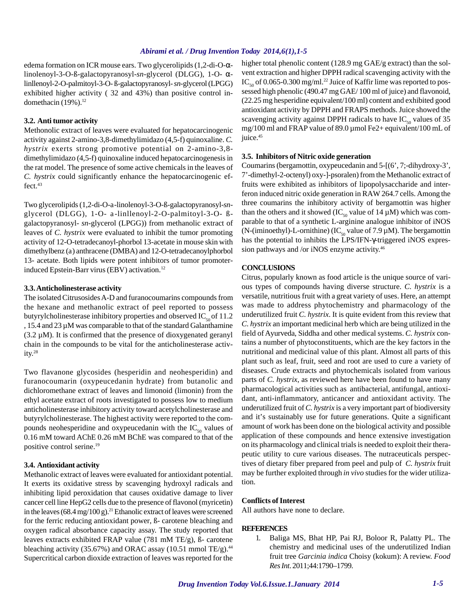edema formation on ICR mouse ears. Two glycerolipids (1,2-di-O-αlinolenoyl-3-O-ß-galactopyranosyl-*sn*-glycerol (DLGG), 1-O- αlinllenoyl-2-O-palmitoyl-3-O- ß-galactopyranosyl- *sn*-glycerol (LPGG) exhibited higher activity ( 32 and 43%) than positive control indomethacin  $(19\%)$ .<sup>12</sup>

#### **3.2. Anti tumor activity**

Methonolic extract of leaves were evaluated for hepatocarcinogenic activity against 2-amino-3,8-dimethylimidazo (4,5-f) quinoxaline. *C. hystrix* exerts strong promotive potential on 2-amino-3,8 dimethylimidazo (4,5-f) quinoxaline induced hepatocarcinogenesis in the rat model. The presence of some active chemicals in the leaves of *C. hystrix* could significantly enhance the hepatocarcinogenic effect.<sup>43</sup>

Two glycerolipids (1,2-di-O-a-linolenoyl-3-O-ß-galactopyranosyl-*sn*glycerol (DLGG), 1-O- a -linllenoyl-2-O-palmitoyl-3-O- ßgalactopyranosyl- *sn*-glycerol (LPGG)) from methanolic extract of leaves of *C. hystrix* were evaluated to inhibit the tumor promoting activity of 12-O-tetradecanoyl-phorbol 13-acetate in mouse skin with dimethylbenz (a) anthracene (DMBA) and 12-O-tetradecanoylphorbol 13- acetate. Both lipids were potent inhibitors of tumor promoterinduced Epstein-Barr virus (EBV) activation.<sup>12</sup>

#### **3.3. Anticholinesterase activity**

The isolated Citrusosides A-D and furanocoumarins compounds from the hexane and methanolic extract of peel reported to possess butyrylcholinesterase inhibitory properties and observed  $IC_{\epsilon_0}$  of 11.2 , 15.4 and 23 µM was comparable to that of the standard Galanthamine  $(3.2 \mu M)$ . It is confirmed that the presence of dioxygenated geranyl chain in the compounds to be vital for the anticholinesterase activity.<sup>28</sup>

Two flavanone glycosides (hesperidin and neohesperidin) and furanocoumarin (oxypeucedanin hydrate) from butanolic and dichloromethane extract of leaves and limonoid (limonin) from the ethyl acetate extract of roots investigated to possess low to medium anticholinesterase inhibitory activity toward acetylcholinesterase and butyrylcholinesterase. The highest activity were reported to the compounds neohesperidine and oxypeucedanin with the  $IC_{50}$  values of 0.16 mM toward AChE 0.26 mM BChE was compared to that of the positive control serine.<sup>19</sup>

# **3.4. Antioxidant activity**

Methanolic extract of leaves were evaluated for antioxidant potential. It exerts its oxidative stress by scavenging hydroxyl radicals and inhibiting lipid peroxidation that causes oxidative damage to liver cancer cell line HepG2 cells due to the presence of flavonol (myricetin) in the leaves (68.4 mg/100 g).<sup>21</sup> Ethanolic extract of leaves were screened for the ferric reducing antioxidant power, ß- carotene bleaching and oxygen radical absorbance capacity assay. The study reported that leaves extracts exhibited FRAP value (781 mM TE/g), ß- carotene bleaching activity (35.67%) and ORAC assay (10.51 mmol TE/g).<sup>44</sup> Supercritical carbon dioxide extraction of leaves was reported for the

higher total phenolic content (128.9 mg GAE/g extract) than the solvent extraction and higher DPPH radical scavenging activity with the IC<sub>50</sub> of 0.065-0.300 mg/ml.<sup>22</sup> Juice of Kaffir lime was reported to possessed high phenolic (490.47 mg GAE/ 100 ml of juice) and flavonoid, (22.25 mg hesperidine equivalent/100 ml) content and exhibited good antioxidant activity by DPPH and FRAPS methods. Juice showed the scavenging activity against DPPH radicals to have  $IC_{50}$  values of 35 mg/100 ml and FRAP value of 89.0 µmol Fe2+ equivalent/100 mL of juice.<sup>45</sup>

#### **3.5. Inhibitors of Nitric oxide generation**

Coumarins (bergamottin, oxypeucedanin and 5-[(6', 7;-dihydroxy-3', 7'-dimethyl-2-octenyl) oxy-]-psoralen) from the Methanolic extract of fruits were exhibited as inhibitors of lipopolysaccharide and interferon induced nitric oxide generation in RAW 264.7 cells. Among the three coumarins the inhibitory activity of bergamottin was higher than the others and it showed (IC<sub>50</sub> value of 14  $\mu$ M) which was comparable to that of a synthetic L-arginine analogue inhibitor of iNOS (N-(iminoethyl)-L-ornithine) (IC<sub>50</sub> value of 7.9  $\mu$ M). The bergamottin has the potential to inhibits the LPS/IFN-γ-triggered iNOS expression pathways and /or iNOS enzyme activity.<sup>46</sup>

#### **CONCLUSIONS**

Citrus, popularly known as food article is the unique source of various types of compounds having diverse structure. *C. hystrix* is a versatile, nutritious fruit with a great variety of uses. Here, an attempt was made to address phytochemistry and pharmacology of the underutilized fruit *C. hystrix*. It is quite evident from this review that *C. hystrix* an important medicinal herb which are being utilized in the field of Ayurveda, Siddha and other medical systems. *C. hystrix* contains a number of phytoconstituents, which are the key factors in the nutritional and medicinal value of this plant. Almost all parts of this plant such as leaf, fruit, seed and root are used to cure a variety of diseases. Crude extracts and phytochemicals isolated from various parts of *C. hystrix*, as reviewed here have been found to have many pharmacological activities such as antibacterial, antifungal, antioxidant, anti-inflammatory, anticancer and antioxidant activity. The underutilized fruit of *C. hystrix* is a very important part of biodiversity and it's sustainably use for future generations. Quite a significant amount of work has been done on the biological activity and possible application of these compounds and hence extensive investigation on its pharmacology and clinical trials is needed to exploit their therapeutic utility to cure various diseases. The nutraceuticals perspectives of dietary fiber prepared from peel and pulp of *C. hystrix* fruit may be further exploited through *in vivo* studies for the wider utilization.

#### **Conflicts of Interest**

All authors have none to declare.

# **REFERENCES**

1. Baliga MS, Bhat HP, Pai RJ, Boloor R, Palatty PL. The chemistry and medicinal uses of the underutilized Indian fruit tree *Garcinia indica* Choisy (kokum): A review. *Food Res Int*. 2011;44:1790–1799.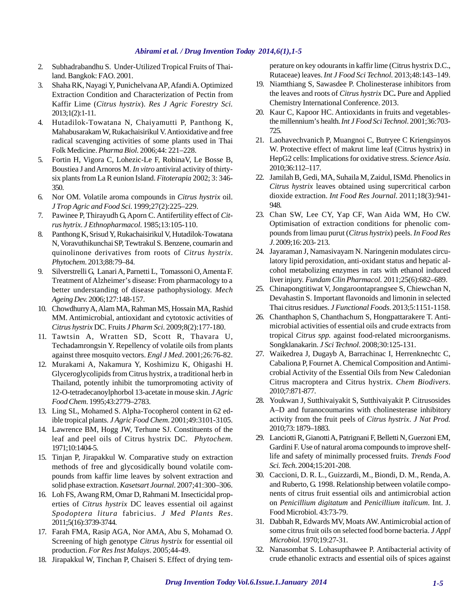- 2. Subhadrabandhu S. Under-Utilized Tropical Fruits of Thailand. Bangkok: FAO. 2001.
- 3. Shaha RK, Nayagi Y, Punichelvana AP, Afandi A. Optimized Extraction Condition and Characterization of Pectin from Kaffir Lime (*Citrus hystrix*). *Res J Agric Forestry Sci.* 2013;1(2):1-11.
- 4. Hutadilok-Towatana N, Chaiyamutti P, Panthong K, Mahabusarakam W, Rukachaisirikul V. Antioxidative and free radical scavenging activities of some plants used in Thai Folk Medicine. *Pharma Biol*. 2006;44: 221–228.
- 5. Fortin H, Vigora C, Lohezic-Le F, RobinaV, Le Bosse B, Boustiea J and Arnoros M. *In vitro* antiviral activity of thirtysix plants from La R eunion Island. *Fitoterapia* 2002; 3: 346- 350.
- 6. Nor OM. Volatile aroma compounds in *Citrus hystrix* oil. *J Trop Agric and Food Sci*. 1999;27(2):225–229.
- 7. Pawinee P, Thirayudh G, Aporn C. Antifertility effect of *Citrus hytrix*. *J Ethnopharmacol*. 1985;13:105-110.
- 8. Panthong K, Srisud Y, Rukachaisirikul V, Hutadilok-Towatana N, Voravuthikunchai SP, Tewtrakul S. Benzene, coumarin and quinolinone derivatives from roots of *Citrus hystrix*. *Phytochem*. 2013;88:79–84.
- 9. Silverstrelli G, Lanari A, Parnetti L, Tomassoni O, Amenta F. Treatment of Alzheimer's disease: From pharmacology to a better understanding of disease pathophysiology. *Mech Ageing Dev.* 2006;127:148-157.
- 10. Chowdhurry A, Alam MA, Rahman MS, Hossain MA, Rashid MM. Antimicrobial, antioxidant and cytotoxic activities of *Citrus hystrix* DC. Fruits *J Pharm Sci*. 2009;8(2):177-180.
- 11. Tawtsin A, Wratten SD, Scott R, Thavara U, Techadamrongsin Y. Repellency of volatile oils from plants against three mosquito vectors. *Engl J Med*. 2001;26:76-82.
- 12. Murakami A, Nakamura Y, Koshimizu K, Ohigashi H. Glyceroglycolipids from Citrus hystrix, a traditional herb in Thailand, potently inhibit the tumorpromoting activity of 12-O-tetradecanoylphorbol 13-acetate in mouse skin. *J Agric Food Chem*. 1995;43:2779–2783.
- 13. Ling SL, Mohamed S. Alpha-Tocopherol content in 62 edible tropical plants. *J Agric Food Chem*. 2001;49:3101-3105.
- 14. Lawrence BM, Hogg JW, Terhune SJ. Constituents of the leaf and peel oils of Citrus hystrix DC. *Phytochem.* 1971;10:1404-5.
- 15. Tinjan P, Jirapakkul W. Comparative study on extraction methods of free and glycosidically bound volatile compounds from kaffir lime leaves by solvent extraction and solid phase extraction. *Kasetsart Journal*. 2007;41:300–306.
- 16. Loh FS, Awang RM, Omar D, Rahmani M. Insecticidal properties of *Citrus hystrix* DC leaves essential oil against *Spodoptera litura* fabricius. *J Med Plants Res*. 2011;5(16):3739-3744.
- 17. Farah FMA, Rasip AGA, Nor AMA, Abu S, Mohamad O. Screening of high genotype *Citrus hystrix* for essential oil production. *For Res Inst Malays*. 2005;44-49.
- 18. Jirapakkul W, Tinchan P, Chaiseri S. Effect of drying tem-

perature on key odourants in kaffir lime (Citrus hystrix D.C., Rutaceae) leaves. *Int J Food Sci Technol*. 2013;48:143–149.

- 19. Niamthiang S, Sawasdee P. Cholinesterase inhibitors from the leaves and roots of *Citrus hystrix* DC**.** Pure and Applied Chemistry International Conference. 2013.
- 20. Kaur C, Kapoor HC. Antioxidants in fruits and vegetablesthe millennium's health. *Int J Food Sci Technol*. 2001;36:703- 725.
- 21. Laohavechvanich P, Muangnoi C, Butryee C Kriengsinyos W. Protective effect of makrut lime leaf (Citrus hystrix) in HepG2 cells: Implications for oxidative stress. *Science Asia*. 2010;36:112–117.
- 22. Jamilah B, Gedi, MA, Suhaila M, Zaidul, ISMd. Phenolics in *Citrus hystrix* leaves obtained using supercritical carbon dioxide extraction. *Int Food Res Journal*. 2011;18(3):941- 948.
- 23. Chan SW, Lee CY, Yap CF, Wan Aida WM, Ho CW. Optimisation of extraction conditions for phenolic compounds from limau purut (*Citrus hystrix*) peels. *In Food Res J*. 2009;16: 203- 213.
- 24. Jayaraman J, Namasivayam N. Naringenin modulates circulatory lipid peroxidation, anti-oxidant status and hepatic alcohol metabolizing enzymes in rats with ethanol induced liver injury. *Fundam Clin Pharmacol*. 2011;25(6):682–689.
- 25. Chinapongtitiwat V, Jongaroontaprangsee S, Chiewchan N, Devahastin S. Important flavonoids and limonin in selected Thai citrus residues. *J Functional Foods*. 2013;5:1151-1158.
- 26. Chanthaphon S, Chanthachum S, Hongpattarakere T. Antimicrobial activities of essential oils and crude extracts from tropical *Citrus spp.* against food-related microorganisms. Songklanakarin. *J Sci Technol*. 2008;30:125-131.
- 27. Waikedrea J, Dugayb A, Barrachinac I, Herrenknechtc C, Cabaliona P, Fournet A. Chemical Composition and Antimicrobial Activity of the Essential Oils from New Caledonian Citrus macroptera and Citrus hystrix. *Chem Biodivers*. 2010;7:871-877.
- 28. Youkwan J, Sutthivaiyakit S, Sutthivaiyakit P. Citrusosides A–D and furanocoumarins with cholinesterase inhibitory activity from the fruit peels of *Citrus hystrix*. *J Nat Prod.* 2010;73: 1879–1883.
- 29. Lanciotti R, Gianotti A, Patrignani F, Belletti N, Guerzoni EM, Gardini F. Use of natural aroma compounds to improve shelflife and safety of minimally processed fruits. *Trends Food Sci. Tech*. 2004;15:201-208.
- 30. Caccioni, D. R. L., Guizzardi, M., Biondi, D. M., Renda, A. and Ruberto, G. 1998. Relationship between volatile components of citrus fruit essential oils and antimicrobial action on *Penicillium digitatum* and *Penicillium italicum*. Int. J. Food Microbiol. 43:73-79.
- 31. Dabbah R, Edwards MV, Moats AW. Antimicrobial action of some citrus fruit oils on selected food borne bacteria. *J Appl Microbiol*. 1970;19:27-31.
- 32. Nanasombat S. Lohasupthawee P. Antibacterial activity of crude ethanolic extracts and essential oils of spices against